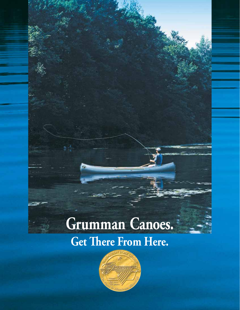# **Grumman® Canoes.**

## **Get There From Here.**

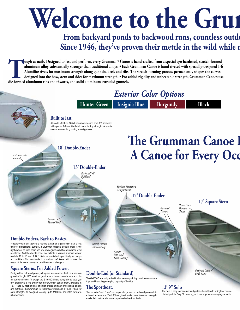# **Welcome to the Grun**

## From backyard ponds to backwood runs, countless outdo Since 1946, they've proven their mettle in the wild while **n**

**Tough as nails. Designed to last and perform, every Grumman® Canoe is hand-crafted from a special age-hardened, stretch-formed aluminum alloy substantially stronger than traditional alloys. • Each Grumman Canoe is hand ri aluminum alloy substantially stronger than traditional alloys. • Each Grumman Canoe is hand riveted with specially-designed T-6 Alumilite rivets for maximum strength along gunnels, keels and ribs. The stretch-forming process permanently shapes the curves designed into the bow, stern and sides for maximum strength. • For added rigidity and unbeatable strength, Grumman Canoes use die-formed aluminum ribs and thwarts, and solid aluminum extruded gunnels.** 



### **The Sportboat.**

16, 17 and 19 foot lengths. The first choice of many professional guides and outfitters, the Grumman 19-footer has 12 ribs and a "Bulb T" keel for extra strength. It's designed to carry up to 1100 lbs. and rated for up to

5 horsepower.

This versatile 3-in-1 "boat" can be paddled, rowed or outboard powered. An extra-wide beam and "Bulb T" keel gives it added steadiness and strength. Available in natural aluminum or painted olive drab finish.

The Solo is easy to maneuver and glides efficiently with a single or double bladed paddle. Only 50 pounds, yet it has a generous carrying capacity.

**12' 9" Solo**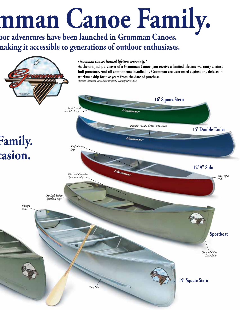# mman Canoe Family.

**From a** from the backwood *aunched in Grumman Canoes.* making it accessible to generations of outdoor enthusiasts.